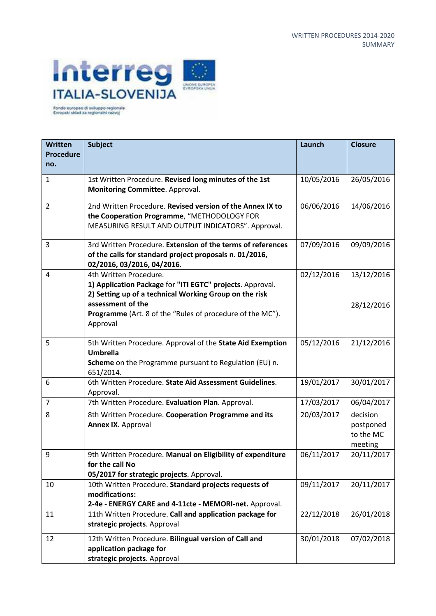

| <b>Written</b>          | <b>Subject</b>                                                                                                                                                 | Launch     | <b>Closure</b>                                |
|-------------------------|----------------------------------------------------------------------------------------------------------------------------------------------------------------|------------|-----------------------------------------------|
| <b>Procedure</b><br>no. |                                                                                                                                                                |            |                                               |
| $\mathbf{1}$            | 1st Written Procedure. Revised long minutes of the 1st<br>Monitoring Committee. Approval.                                                                      | 10/05/2016 | 26/05/2016                                    |
| $\overline{2}$          | 2nd Written Procedure. Revised version of the Annex IX to<br>the Cooperation Programme, "METHODOLOGY FOR<br>MEASURING RESULT AND OUTPUT INDICATORS". Approval. | 06/06/2016 | 14/06/2016                                    |
| 3                       | 3rd Written Procedure. Extension of the terms of references<br>of the calls for standard project proposals n. 01/2016,<br>02/2016, 03/2016, 04/2016.           | 07/09/2016 | 09/09/2016                                    |
| 4                       | 4th Written Procedure.<br>1) Application Package for "ITI EGTC" projects. Approval.<br>2) Setting up of a technical Working Group on the risk                  | 02/12/2016 | 13/12/2016                                    |
|                         | assessment of the<br>Programme (Art. 8 of the "Rules of procedure of the MC").<br>Approval                                                                     |            | 28/12/2016                                    |
| 5                       | 5th Written Procedure. Approval of the State Aid Exemption<br><b>Umbrella</b><br>Scheme on the Programme pursuant to Regulation (EU) n.<br>651/2014.           | 05/12/2016 | 21/12/2016                                    |
| 6                       | 6th Written Procedure. State Aid Assessment Guidelines.<br>Approval.                                                                                           | 19/01/2017 | 30/01/2017                                    |
| $\overline{7}$          | 7th Written Procedure. Evaluation Plan. Approval.                                                                                                              | 17/03/2017 | 06/04/2017                                    |
| 8                       | 8th Written Procedure. Cooperation Programme and its<br><b>Annex IX. Approval</b>                                                                              | 20/03/2017 | decision<br>postponed<br>to the MC<br>meeting |
| 9                       | 9th Written Procedure. Manual on Eligibility of expenditure<br>for the call No<br>05/2017 for strategic projects. Approval.                                    | 06/11/2017 | 20/11/2017                                    |
| 10                      | 10th Written Procedure. Standard projects requests of<br>modifications:<br>2-4e - ENERGY CARE and 4-11cte - MEMORI-net. Approval.                              | 09/11/2017 | 20/11/2017                                    |
| 11                      | 11th Written Procedure. Call and application package for<br>strategic projects. Approval                                                                       | 22/12/2018 | 26/01/2018                                    |
| 12                      | 12th Written Procedure. Bilingual version of Call and<br>application package for<br>strategic projects. Approval                                               | 30/01/2018 | 07/02/2018                                    |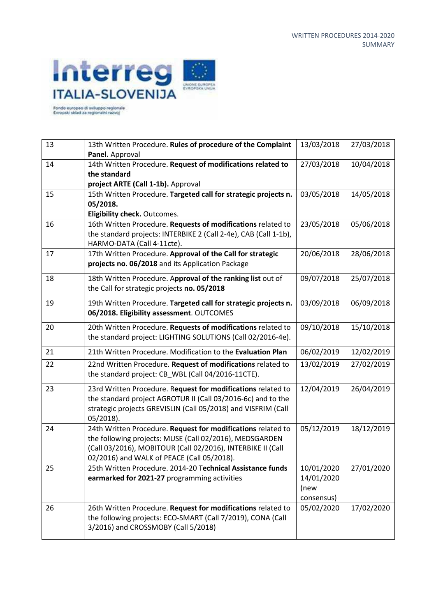

| 13 | 13th Written Procedure. Rules of procedure of the Complaint<br>Panel. Approval                                                                                                                                                       | 13/03/2018                                     | 27/03/2018 |
|----|--------------------------------------------------------------------------------------------------------------------------------------------------------------------------------------------------------------------------------------|------------------------------------------------|------------|
| 14 | 14th Written Procedure. Request of modifications related to<br>the standard<br>project ARTE (Call 1-1b). Approval                                                                                                                    | 27/03/2018                                     | 10/04/2018 |
| 15 | 15th Written Procedure. Targeted call for strategic projects n.<br>05/2018.<br>Eligibility check. Outcomes.                                                                                                                          | 03/05/2018                                     | 14/05/2018 |
| 16 | 16th Written Procedure. Requests of modifications related to<br>the standard projects: INTERBIKE 2 (Call 2-4e), CAB (Call 1-1b),<br>HARMO-DATA (Call 4-11cte).                                                                       | 23/05/2018                                     | 05/06/2018 |
| 17 | 17th Written Procedure. Approval of the Call for strategic<br>projects no. 06/2018 and its Application Package                                                                                                                       | 20/06/2018                                     | 28/06/2018 |
| 18 | 18th Written Procedure. Approval of the ranking list out of<br>the Call for strategic projects no. 05/2018                                                                                                                           | 09/07/2018                                     | 25/07/2018 |
| 19 | 19th Written Procedure. Targeted call for strategic projects n.<br>06/2018. Eligibility assessment. OUTCOMES                                                                                                                         | 03/09/2018                                     | 06/09/2018 |
| 20 | 20th Written Procedure. Requests of modifications related to<br>the standard project: LIGHTING SOLUTIONS (Call 02/2016-4e).                                                                                                          | 09/10/2018                                     | 15/10/2018 |
| 21 | 21th Written Procedure. Modification to the Evaluation Plan                                                                                                                                                                          | 06/02/2019                                     | 12/02/2019 |
| 22 | 22nd Written Procedure. Request of modifications related to<br>the standard project: CB_WBL (Call 04/2016-11CTE).                                                                                                                    | 13/02/2019                                     | 27/02/2019 |
| 23 | 23rd Written Procedure. Request for modifications related to<br>the standard project AGROTUR II (Call 03/2016-6c) and to the<br>strategic projects GREVISLIN (Call 05/2018) and VISFRIM (Call<br>$05/2018$ ).                        | 12/04/2019                                     | 26/04/2019 |
| 24 | 24th Written Procedure. Request for modifications related to<br>the following projects: MUSE (Call 02/2016), MEDSGARDEN<br>(Call 03/2016), MOBITOUR (Call 02/2016), INTERBIKE II (Call<br>02/2016) and WALK of PEACE (Call 05/2018). | 05/12/2019                                     | 18/12/2019 |
| 25 | 25th Written Procedure. 2014-20 Technical Assistance funds<br>earmarked for 2021-27 programming activities                                                                                                                           | 10/01/2020<br>14/01/2020<br>(new<br>consensus) | 27/01/2020 |
| 26 | 26th Written Procedure. Request for modifications related to<br>the following projects: ECO-SMART (Call 7/2019), CONA (Call<br>3/2016) and CROSSMOBY (Call 5/2018)                                                                   | 05/02/2020                                     | 17/02/2020 |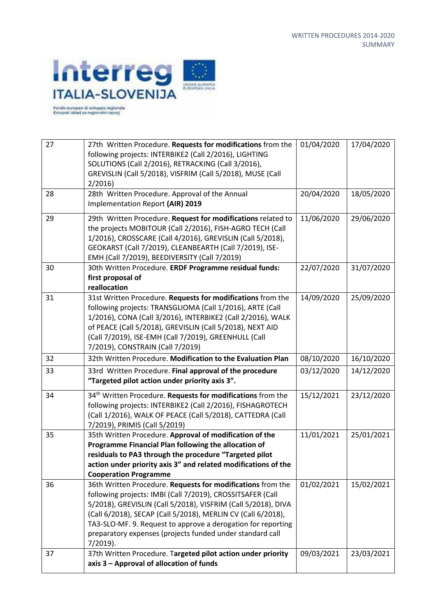

Fondo europeo di sviluppo regionale<br>Evropski sklad za regionalei razvoj

| 27 | 27th Written Procedure. Requests for modifications from the<br>following projects: INTERBIKE2 (Call 2/2016), LIGHTING<br>SOLUTIONS (Call 2/2016), RETRACKING (Call 3/2016),<br>GREVISLIN (Call 5/2018), VISFRIM (Call 5/2018), MUSE (Call<br>2/2016                                                                                                                                                    | 01/04/2020 | 17/04/2020 |
|----|--------------------------------------------------------------------------------------------------------------------------------------------------------------------------------------------------------------------------------------------------------------------------------------------------------------------------------------------------------------------------------------------------------|------------|------------|
| 28 | 28th Written Procedure. Approval of the Annual<br>Implementation Report (AIR) 2019                                                                                                                                                                                                                                                                                                                     | 20/04/2020 | 18/05/2020 |
| 29 | 29th Written Procedure. Request for modifications related to<br>the projects MOBITOUR (Call 2/2016), FISH-AGRO TECH (Call<br>1/2016), CROSSCARE (Call 4/2016), GREVISLIN (Call 5/2018),<br>GEOKARST (Call 7/2019), CLEANBEARTH (Call 7/2019), ISE-<br>EMH (Call 7/2019), BEEDIVERSITY (Call 7/2019)                                                                                                    | 11/06/2020 | 29/06/2020 |
| 30 | 30th Written Procedure. ERDF Programme residual funds:<br>first proposal of<br>reallocation                                                                                                                                                                                                                                                                                                            | 22/07/2020 | 31/07/2020 |
| 31 | 31st Written Procedure. Requests for modifications from the<br>following projects: TRANSGLIOMA (Call 1/2016), ARTE (Call<br>1/2016), CONA (Call 3/2016), INTERBIKE2 (Call 2/2016), WALK<br>of PEACE (Call 5/2018), GREVISLIN (Call 5/2018), NEXT AID<br>(Call 7/2019), ISE-EMH (Call 7/2019), GREENHULL (Call<br>7/2019), CONSTRAIN (Call 7/2019)                                                      | 14/09/2020 | 25/09/2020 |
| 32 | 32th Written Procedure. Modification to the Evaluation Plan                                                                                                                                                                                                                                                                                                                                            | 08/10/2020 | 16/10/2020 |
| 33 | 33rd Written Procedure. Final approval of the procedure<br>"Targeted pilot action under priority axis 3".                                                                                                                                                                                                                                                                                              | 03/12/2020 | 14/12/2020 |
| 34 | 34 <sup>th</sup> Written Procedure. Requests for modifications from the<br>following projects: INTERBIKE2 (Call 2/2016), FISHAGROTECH<br>(Call 1/2016), WALK OF PEACE (Call 5/2018), CATTEDRA (Call<br>7/2019), PRIMIS (Call 5/2019)                                                                                                                                                                   | 15/12/2021 | 23/12/2020 |
| 35 | 35th Written Procedure. Approval of modification of the<br>Programme Financial Plan following the allocation of<br>residuals to PA3 through the procedure "Targeted pilot<br>action under priority axis 3" and related modifications of the<br><b>Cooperation Programme</b>                                                                                                                            | 11/01/2021 | 25/01/2021 |
| 36 | 36th Written Procedure. Requests for modifications from the<br>following projects: IMBI (Call 7/2019), CROSSITSAFER (Call<br>5/2018), GREVISLIN (Call 5/2018), VISFRIM (Call 5/2018), DIVA<br>(Call 6/2018), SECAP (Call 5/2018), MERLIN CV (Call 6/2018),<br>TA3-SLO-MF. 9. Request to approve a derogation for reporting<br>preparatory expenses (projects funded under standard call<br>$7/2019$ ). | 01/02/2021 | 15/02/2021 |
| 37 | 37th Written Procedure. Targeted pilot action under priority<br>axis 3 - Approval of allocation of funds                                                                                                                                                                                                                                                                                               | 09/03/2021 | 23/03/2021 |